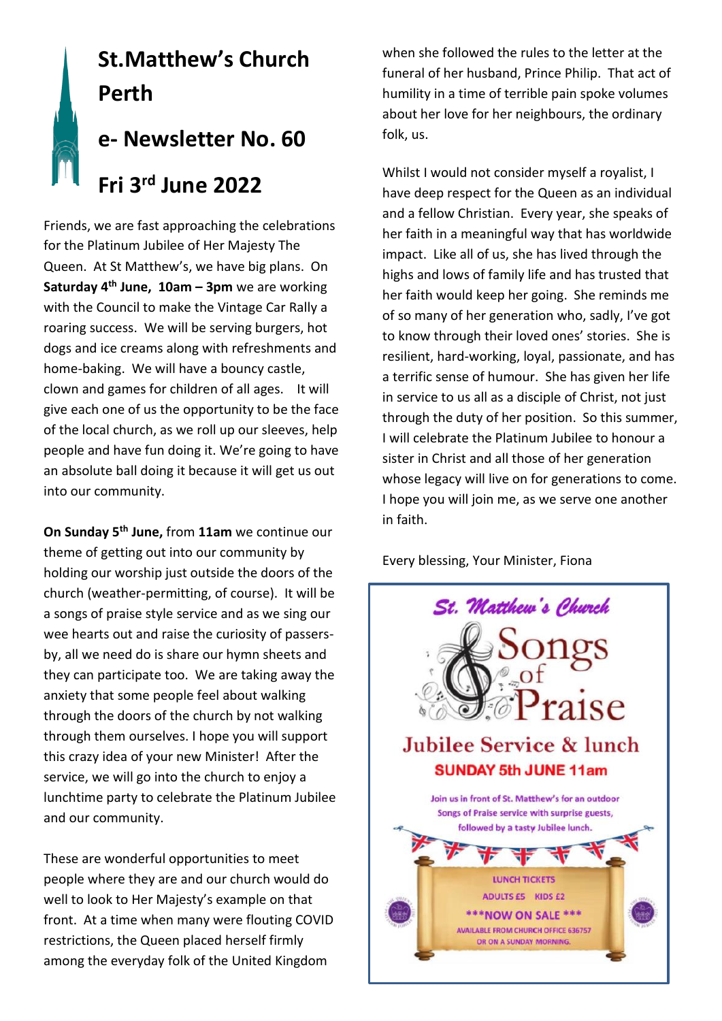# **St.Matthew's Church Perth e- Newsletter No. 60**

# **Fri 3 rd June 2022**

Friends, we are fast approaching the celebrations for the Platinum Jubilee of Her Majesty The Queen. At St Matthew's, we have big plans. On **Saturday 4th June, 10am – 3pm** we are working with the Council to make the Vintage Car Rally a roaring success. We will be serving burgers, hot dogs and ice creams along with refreshments and home-baking. We will have a bouncy castle, clown and games for children of all ages. It will give each one of us the opportunity to be the face of the local church, as we roll up our sleeves, help people and have fun doing it. We're going to have an absolute ball doing it because it will get us out into our community.

**On Sunday 5th June,** from **11am** we continue our theme of getting out into our community by holding our worship just outside the doors of the church (weather-permitting, of course). It will be a songs of praise style service and as we sing our wee hearts out and raise the curiosity of passersby, all we need do is share our hymn sheets and they can participate too. We are taking away the anxiety that some people feel about walking through the doors of the church by not walking through them ourselves. I hope you will support this crazy idea of your new Minister! After the service, we will go into the church to enjoy a lunchtime party to celebrate the Platinum Jubilee and our community.

These are wonderful opportunities to meet people where they are and our church would do well to look to Her Majesty's example on that front. At a time when many were flouting COVID restrictions, the Queen placed herself firmly among the everyday folk of the United Kingdom

when she followed the rules to the letter at the funeral of her husband, Prince Philip. That act of humility in a time of terrible pain spoke volumes about her love for her neighbours, the ordinary folk, us.

Whilst I would not consider myself a royalist, I have deep respect for the Queen as an individual and a fellow Christian. Every year, she speaks of her faith in a meaningful way that has worldwide impact. Like all of us, she has lived through the highs and lows of family life and has trusted that her faith would keep her going. She reminds me of so many of her generation who, sadly, I've got to know through their loved ones' stories. She is resilient, hard-working, loyal, passionate, and has a terrific sense of humour. She has given her life in service to us all as a disciple of Christ, not just through the duty of her position. So this summer, I will celebrate the Platinum Jubilee to honour a sister in Christ and all those of her generation whose legacy will live on for generations to come. I hope you will join me, as we serve one another in faith.

Every blessing, Your Minister, Fiona

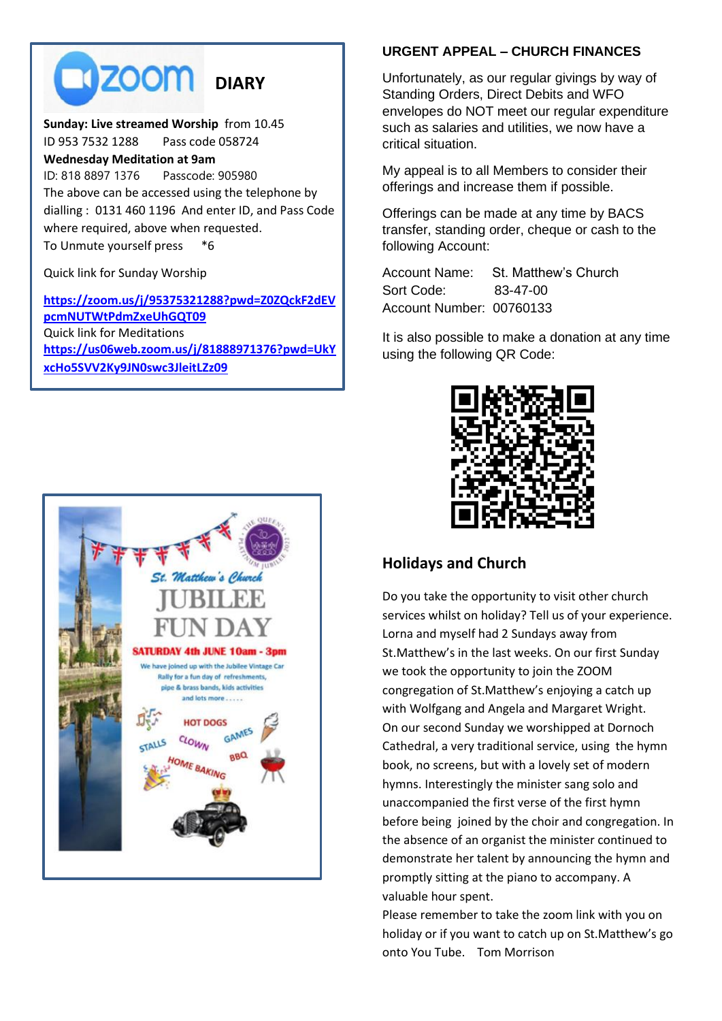**DIZOOM** DIARY

#### **Sunday: Live streamed Worship** from 10.45 ID 953 7532 1288 Pass code 058724 **Wednesday Meditation at 9am**  ID: 818 8897 1376 Passcode: 905980 The above can be accessed using the telephone by dialling : 0131 460 1196 And enter ID, and Pass Code where required, above when requested. To Unmute yourself press \*6

Quick link for Sunday Worship

**[https://zoom.us/j/95375321288?pwd=Z0ZQckF2dEV](https://zoom.us/j/95375321288?pwd=Z0ZQckF2dEVpcmNUTWtPdmZxeUhGQT09) [pcmNUTWtPdmZxeUhGQT09](https://zoom.us/j/95375321288?pwd=Z0ZQckF2dEVpcmNUTWtPdmZxeUhGQT09)** Quick link for Meditations **[https://us06web.zoom.us/j/81888971376?pwd=UkY](https://us06web.zoom.us/j/81888971376?pwd=UkYxcHo5SVV2Ky9JN0swc3JleitLZz09) [xcHo5SVV2Ky9JN0swc3JleitLZz09](https://us06web.zoom.us/j/81888971376?pwd=UkYxcHo5SVV2Ky9JN0swc3JleitLZz09)**



#### **URGENT APPEAL – CHURCH FINANCES**

Unfortunately, as our regular givings by way of Standing Orders, Direct Debits and WFO envelopes do NOT meet our regular expenditure such as salaries and utilities, we now have a critical situation.

My appeal is to all Members to consider their offerings and increase them if possible.

Offerings can be made at any time by BACS transfer, standing order, cheque or cash to the following Account:

Account Name: St. Matthew's Church Sort Code: 83-47-00 Account Number: 00760133

It is also possible to make a donation at any time using the following QR Code:



#### **Holidays and Church**

Do you take the opportunity to visit other church services whilst on holiday? Tell us of your experience. Lorna and myself had 2 Sundays away from St.Matthew's in the last weeks. On our first Sunday we took the opportunity to join the ZOOM congregation of St.Matthew's enjoying a catch up with Wolfgang and Angela and Margaret Wright. On our second Sunday we worshipped at Dornoch Cathedral, a very traditional service, using the hymn book, no screens, but with a lovely set of modern hymns. Interestingly the minister sang solo and unaccompanied the first verse of the first hymn before being joined by the choir and congregation. In the absence of an organist the minister continued to demonstrate her talent by announcing the hymn and promptly sitting at the piano to accompany. A valuable hour spent.

Please remember to take the zoom link with you on holiday or if you want to catch up on St.Matthew's go onto You Tube. Tom Morrison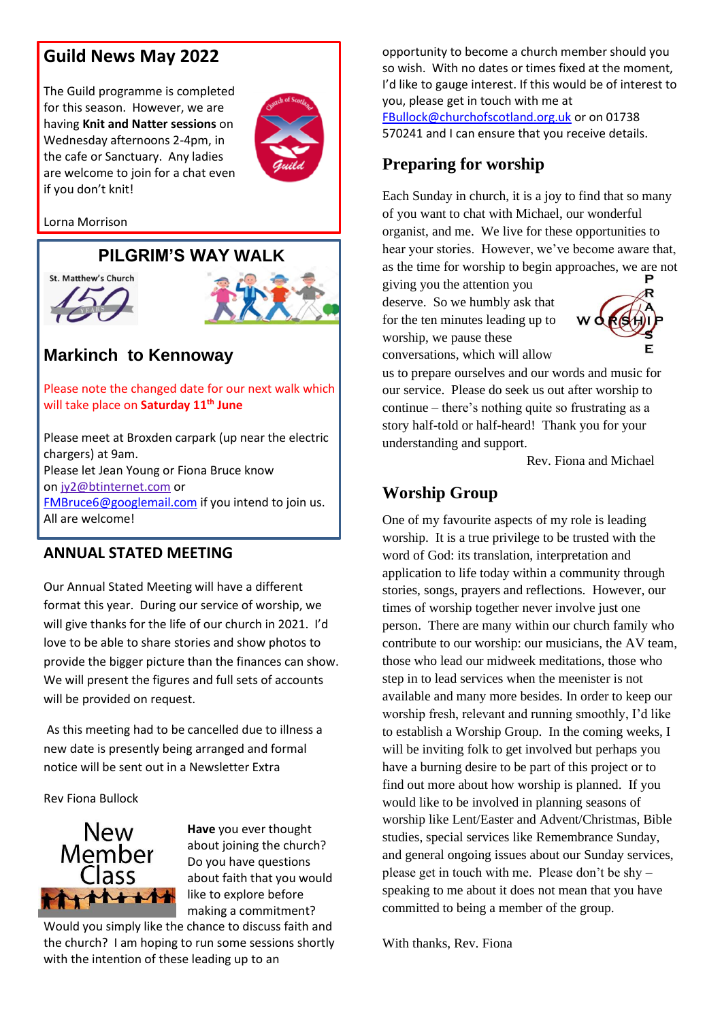## **Guild News May 2022**

The Guild programme is completed for this season. However, we are having **Knit and Natter sessions** on Wednesday afternoons 2-4pm, in the cafe or Sanctuary. Any ladies are welcome to join for a chat even if you don't knit!



Lorna Morrison

## **PILGRIM'S WAY WALK**





# **Markinch to Kennoway**

Please note the changed date for our next walk which will take place on **Saturday 11th June**

Please meet at Broxden carpark (up near the electric chargers) at 9am. Please let Jean Young or Fiona Bruce know on [jy2@btinternet.com](mailto:jy2@btinternet.com) or [FMBruce6@googlemail.com](mailto:FMBruce6@googlemail.com) if you intend to join us. All are welcome!

#### **ANNUAL STATED MEETING**

Our Annual Stated Meeting will have a different format this year. During our service of worship, we will give thanks for the life of our church in 2021. I'd love to be able to share stories and show photos to provide the bigger picture than the finances can show. We will present the figures and full sets of accounts will be provided on request.

As this meeting had to be cancelled due to illness a new date is presently being arranged and formal notice will be sent out in a Newsletter Extra

Rev Fiona Bullock



**Have** you ever thought about joining the church? Do you have questions about faith that you would like to explore before making a commitment?

Would you simply like the chance to discuss faith and the church? I am hoping to run some sessions shortly with the intention of these leading up to an

opportunity to become a church member should you so wish. With no dates or times fixed at the moment, I'd like to gauge interest. If this would be of interest to you, please get in touch with me at [FBullock@churchofscotland.org.uk](mailto:FBullock@churchofscotland.org.uk) or on 01738 570241 and I can ensure that you receive details.

## **Preparing for worship**

Each Sunday in church, it is a joy to find that so many of you want to chat with Michael, our wonderful organist, and me. We live for these opportunities to hear your stories. However, we've become aware that, as the time for worship to begin approaches, we are not

giving you the attention you deserve. So we humbly ask that for the ten minutes leading up to worship, we pause these conversations, which will allow



us to prepare ourselves and our words and music for our service. Please do seek us out after worship to continue – there's nothing quite so frustrating as a story half-told or half-heard! Thank you for your understanding and support.

Rev. Fiona and Michael

## **Worship Group**

One of my favourite aspects of my role is leading worship. It is a true privilege to be trusted with the word of God: its translation, interpretation and application to life today within a community through stories, songs, prayers and reflections. However, our times of worship together never involve just one person. There are many within our church family who contribute to our worship: our musicians, the AV team, those who lead our midweek meditations, those who step in to lead services when the meenister is not available and many more besides. In order to keep our worship fresh, relevant and running smoothly, I'd like to establish a Worship Group. In the coming weeks, I will be inviting folk to get involved but perhaps you have a burning desire to be part of this project or to find out more about how worship is planned. If you would like to be involved in planning seasons of worship like Lent/Easter and Advent/Christmas, Bible studies, special services like Remembrance Sunday, and general ongoing issues about our Sunday services, please get in touch with me. Please don't be shy – speaking to me about it does not mean that you have committed to being a member of the group.

With thanks, Rev. Fiona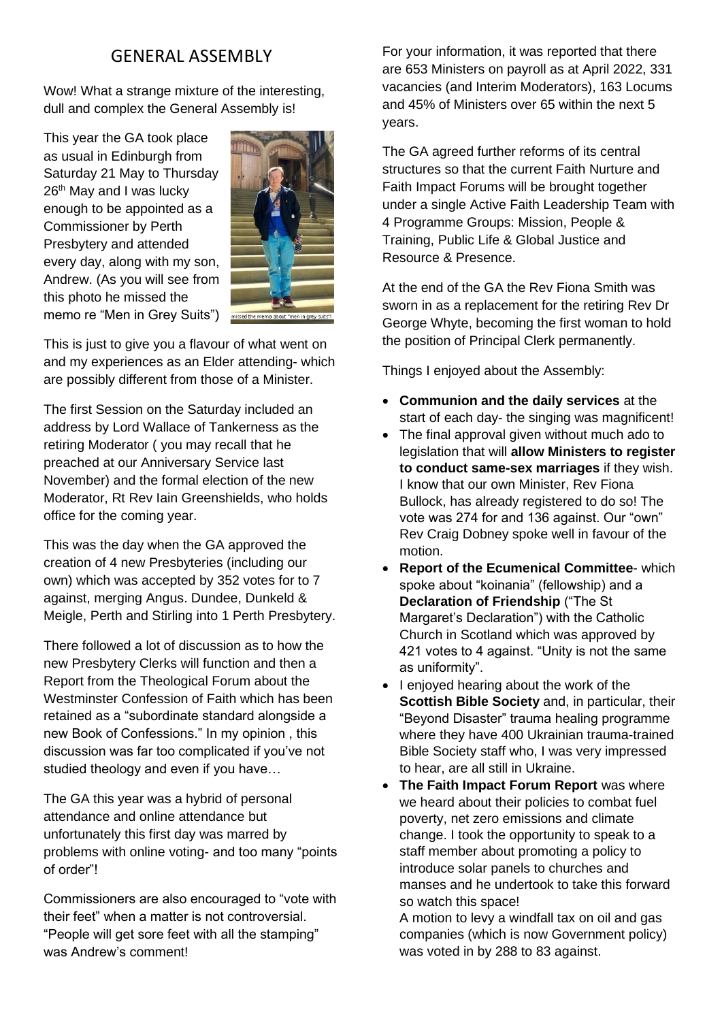# GENERAL ASSEMBLY

Wow! What a strange mixture of the interesting, dull and complex the General Assembly is!

This year the GA took place as usual in Edinburgh from Saturday 21 May to Thursday 26<sup>th</sup> May and I was lucky enough to be appointed as a Commissioner by Perth Presbytery and attended every day, along with my son, Andrew. (As you will see from this photo he missed the memo re "Men in Grey Suits")



This is just to give you a flavour of what went on and my experiences as an Elder attending- which are possibly different from those of a Minister.

The first Session on the Saturday included an address by Lord Wallace of Tankerness as the retiring Moderator ( you may recall that he preached at our Anniversary Service last November) and the formal election of the new Moderator, Rt Rev Iain Greenshields, who holds office for the coming year.

This was the day when the GA approved the creation of 4 new Presbyteries (including our own) which was accepted by 352 votes for to 7 against, merging Angus. Dundee, Dunkeld & Meigle, Perth and Stirling into 1 Perth Presbytery.

There followed a lot of discussion as to how the new Presbytery Clerks will function and then a Report from the Theological Forum about the Westminster Confession of Faith which has been retained as a "subordinate standard alongside a new Book of Confessions." In my opinion , this discussion was far too complicated if you've not studied theology and even if you have…

The GA this year was a hybrid of personal attendance and online attendance but unfortunately this first day was marred by problems with online voting- and too many "points of order"!

Commissioners are also encouraged to "vote with their feet" when a matter is not controversial. "People will get sore feet with all the stamping" was Andrew's comment!

For your information, it was reported that there are 653 Ministers on payroll as at April 2022, 331 vacancies (and Interim Moderators), 163 Locums and 45% of Ministers over 65 within the next 5 years.

The GA agreed further reforms of its central structures so that the current Faith Nurture and Faith Impact Forums will be brought together under a single Active Faith Leadership Team with 4 Programme Groups: Mission, People & Training, Public Life & Global Justice and Resource & Presence.

At the end of the GA the Rev Fiona Smith was sworn in as a replacement for the retiring Rev Dr George Whyte, becoming the first woman to hold the position of Principal Clerk permanently.

Things I enjoyed about the Assembly:

- **Communion and the daily services** at the start of each day- the singing was magnificent!
- The final approval given without much ado to legislation that will **allow Ministers to register to conduct same-sex marriages** if they wish. I know that our own Minister, Rev Fiona Bullock, has already registered to do so! The vote was 274 for and 136 against. Our "own" Rev Craig Dobney spoke well in favour of the motion.
- **Report of the Ecumenical Committee** which spoke about "koinania" (fellowship) and a **Declaration of Friendship** ("The St Margaret's Declaration") with the Catholic Church in Scotland which was approved by 421 votes to 4 against. "Unity is not the same as uniformity".
- I enjoyed hearing about the work of the **Scottish Bible Society** and, in particular, their "Beyond Disaster" trauma healing programme where they have 400 Ukrainian trauma-trained Bible Society staff who, I was very impressed to hear, are all still in Ukraine.
- **The Faith Impact Forum Report** was where we heard about their policies to combat fuel poverty, net zero emissions and climate change. I took the opportunity to speak to a staff member about promoting a policy to introduce solar panels to churches and manses and he undertook to take this forward so watch this space!

A motion to levy a windfall tax on oil and gas companies (which is now Government policy) was voted in by 288 to 83 against.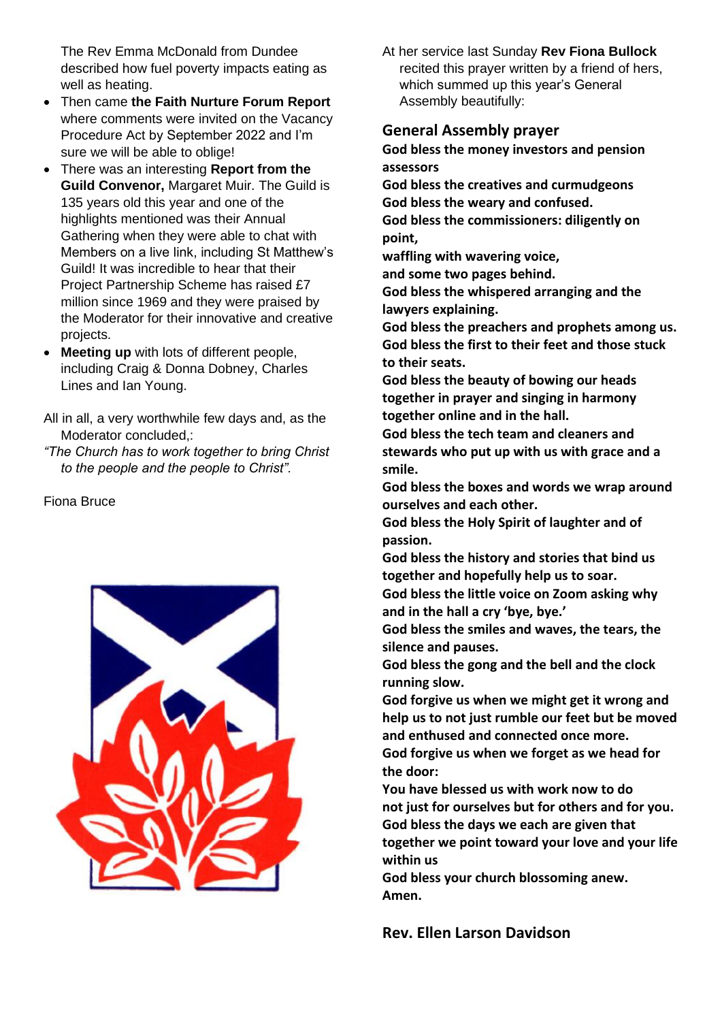The Rev Emma McDonald from Dundee described how fuel poverty impacts eating as well as heating.

- Then came **the Faith Nurture Forum Report**  where comments were invited on the Vacancy Procedure Act by September 2022 and I'm sure we will be able to oblige!
- There was an interesting **Report from the Guild Convenor,** Margaret Muir. The Guild is 135 years old this year and one of the highlights mentioned was their Annual Gathering when they were able to chat with Members on a live link, including St Matthew's Guild! It was incredible to hear that their Project Partnership Scheme has raised £7 million since 1969 and they were praised by the Moderator for their innovative and creative projects.
- **Meeting up** with lots of different people, including Craig & Donna Dobney, Charles Lines and Ian Young.

All in all, a very worthwhile few days and, as the Moderator concluded,:

*"The Church has to work together to bring Christ to the people and the people to Christ".*

Fiona Bruce



At her service last Sunday **Rev Fiona Bullock** recited this prayer written by a friend of hers, which summed up this year's General Assembly beautifully:

#### **General Assembly prayer**

**God bless the money investors and pension assessors**

**God bless the creatives and curmudgeons God bless the weary and confused.**

**God bless the commissioners: diligently on point,**

**waffling with wavering voice,**

**and some two pages behind.**

**God bless the whispered arranging and the lawyers explaining.**

**God bless the preachers and prophets among us. God bless the first to their feet and those stuck to their seats.**

**God bless the beauty of bowing our heads together in prayer and singing in harmony together online and in the hall.**

**God bless the tech team and cleaners and stewards who put up with us with grace and a smile.**

**God bless the boxes and words we wrap around ourselves and each other.**

**God bless the Holy Spirit of laughter and of passion.**

**God bless the history and stories that bind us together and hopefully help us to soar.**

**God bless the little voice on Zoom asking why and in the hall a cry 'bye, bye.'**

**God bless the smiles and waves, the tears, the silence and pauses.**

**God bless the gong and the bell and the clock running slow.**

**God forgive us when we might get it wrong and help us to not just rumble our feet but be moved and enthused and connected once more.**

**God forgive us when we forget as we head for the door:**

**You have blessed us with work now to do not just for ourselves but for others and for you. God bless the days we each are given that together we point toward your love and your life** 

**within us**

**God bless your church blossoming anew. Amen.**

**Rev. Ellen Larson Davidson**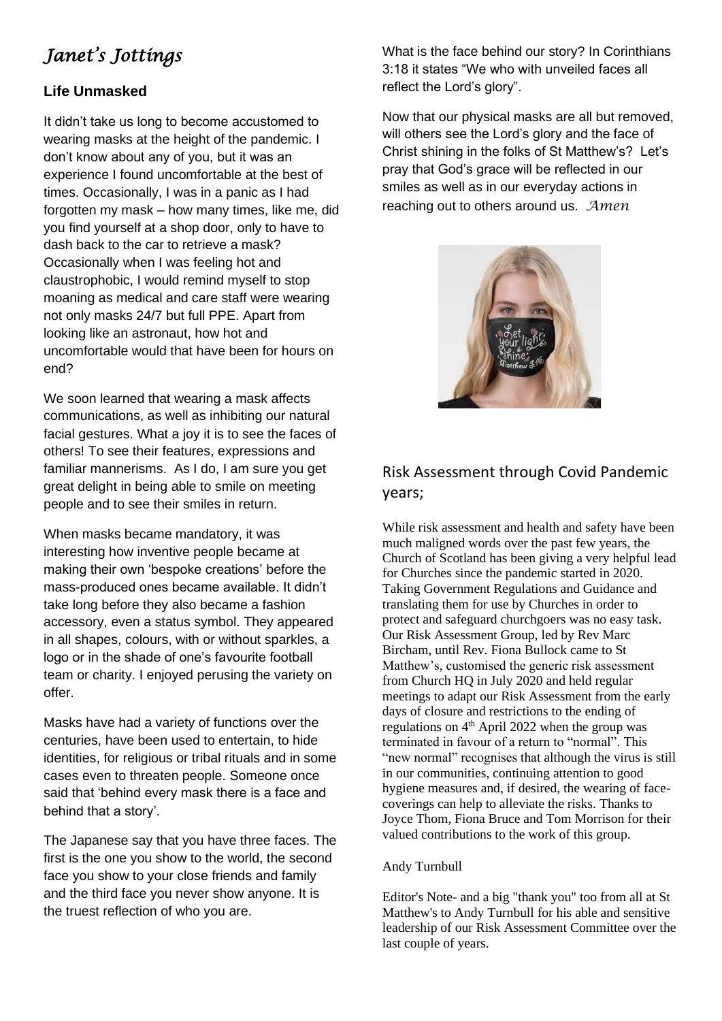# *Janet's Jottings*

### **Life Unmasked**

It didn't take us long to become accustomed to wearing masks at the height of the pandemic. I don't know about any of you, but it was an experience I found uncomfortable at the best of times. Occasionally, I was in a panic as I had forgotten my mask – how many times, like me, did you find yourself at a shop door, only to have to dash back to the car to retrieve a mask? Occasionally when I was feeling hot and claustrophobic, I would remind myself to stop moaning as medical and care staff were wearing not only masks 24/7 but full PPE. Apart from looking like an astronaut, how hot and uncomfortable would that have been for hours on end?

We soon learned that wearing a mask affects communications, as well as inhibiting our natural facial gestures. What a joy it is to see the faces of others! To see their features, expressions and familiar mannerisms. As I do, I am sure you get great delight in being able to smile on meeting people and to see their smiles in return.

When masks became mandatory, it was interesting how inventive people became at making their own 'bespoke creations' before the mass-produced ones became available. It didn't take long before they also became a fashion accessory, even a status symbol. They appeared in all shapes, colours, with or without sparkles, a logo or in the shade of one's favourite football team or charity. I enjoyed perusing the variety on offer.

Masks have had a variety of functions over the centuries, have been used to entertain, to hide identities, for religious or tribal rituals and in some cases even to threaten people. Someone once said that 'behind every mask there is a face and behind that a story'.

The Japanese say that you have three faces. The first is the one you show to the world, the second face you show to your close friends and family and the third face you never show anyone. It is the truest reflection of who you are.

What is the face behind our story? In Corinthians 3:18 it states "We who with unveiled faces all reflect the Lord's glory".

Now that our physical masks are all but removed, will others see the Lord's glory and the face of Christ shining in the folks of St Matthew's? Let's pray that God's grace will be reflected in our smiles as well as in our everyday actions in reaching out to others around us. *Amen*



## Risk Assessment through Covid Pandemic years;

While risk assessment and health and safety have been much maligned words over the past few years, the Church of Scotland has been giving a very helpful lead for Churches since the pandemic started in 2020. Taking Government Regulations and Guidance and translating them for use by Churches in order to protect and safeguard churchgoers was no easy task. Our Risk Assessment Group, led by Rev Marc Bircham, until Rev. Fiona Bullock came to St Matthew's, customised the generic risk assessment from Church HQ in July 2020 and held regular meetings to adapt our Risk Assessment from the early days of closure and restrictions to the ending of regulations on  $4<sup>th</sup>$  April 2022 when the group was terminated in favour of a return to "normal". This "new normal" recognises that although the virus is still in our communities, continuing attention to good hygiene measures and, if desired, the wearing of facecoverings can help to alleviate the risks. Thanks to Joyce Thom, Fiona Bruce and Tom Morrison for their valued contributions to the work of this group.

#### Andy Turnbull

Editor's Note- and a big "thank you" too from all at St Matthew's to Andy Turnbull for his able and sensitive leadership of our Risk Assessment Committee over the last couple of years.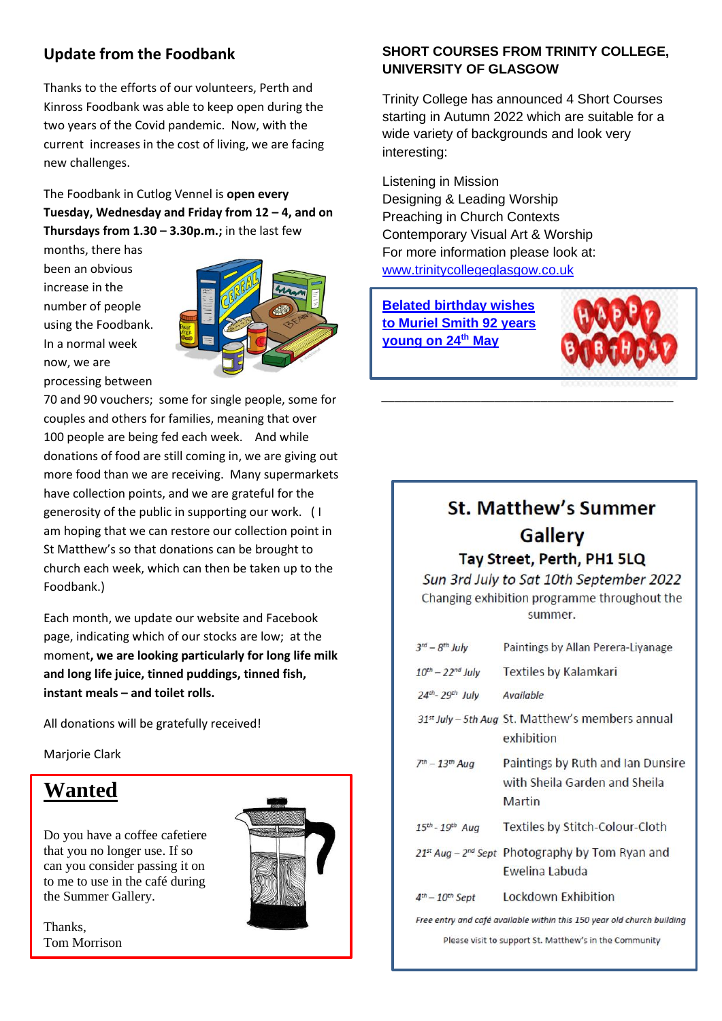## **Update from the Foodbank**

Thanks to the efforts of our volunteers, Perth and Kinross Foodbank was able to keep open during the two years of the Covid pandemic. Now, with the current increases in the cost of living, we are facing new challenges.

The Foodbank in Cutlog Vennel is **open every Tuesday, Wednesday and Friday from 12 – 4, and on Thursdays from**  $1.30 - 3.30p.m.;$  **in the last few** 

months, there has been an obvious increase in the number of people using the Foodbank. In a normal week now, we are processing between



70 and 90 vouchers; some for single people, some for couples and others for families, meaning that over 100 people are being fed each week. And while donations of food are still coming in, we are giving out more food than we are receiving. Many supermarkets have collection points, and we are grateful for the generosity of the public in supporting our work. ( I am hoping that we can restore our collection point in St Matthew's so that donations can be brought to church each week, which can then be taken up to the Foodbank.)

Each month, we update our website and Facebook page, indicating which of our stocks are low; at the moment**, we are looking particularly for long life milk and long life juice, tinned puddings, tinned fish, instant meals – and toilet rolls.**

All donations will be gratefully received!

Marjorie Clark

# **Wanted**

Do you have a coffee cafetiere that you no longer use. If so can you consider passing it on to me to use in the café during the Summer Gallery.

Thanks, Tom Morrison



#### **SHORT COURSES FROM TRINITY COLLEGE, UNIVERSITY OF GLASGOW**

Trinity College has announced 4 Short Courses starting in Autumn 2022 which are suitable for a wide variety of backgrounds and look very interesting:

Listening in Mission Designing & Leading Worship Preaching in Church Contexts Contemporary Visual Art & Worship For more information please look at: [www.trinitycollegeglasgow.co.uk](http://www.trinitycollegeglasgow.co.uk/)

**Belated birthday wishes to Muriel Smith 92 years young on 24th May** 



# **St. Matthew's Summer Gallery**

*\_\_\_\_\_\_\_\_\_\_\_\_\_\_\_\_\_\_\_\_\_\_\_\_\_\_\_\_\_\_\_\_\_\_\_\_\_\_\_\_\_\_\_\_*

#### Tay Street, Perth, PH1 5LQ

Sun 3rd July to Sat 10th September 2022 Changing exhibition programme throughout the summer.

| $3^{rd} - 8^{th}$ July                                                 | Paintings by Allan Perera-Liyanage                                           |  |
|------------------------------------------------------------------------|------------------------------------------------------------------------------|--|
| $10^{th}$ – 22 <sup>nd</sup> July                                      | <b>Textiles by Kalamkari</b>                                                 |  |
| $24th - 29th$ July                                                     | Available                                                                    |  |
|                                                                        | 31 <sup>st</sup> July - 5th Aug St. Matthew's members annual<br>exhibition   |  |
| $7th - 13th$ Aug                                                       | Paintings by Ruth and Ian Dunsire<br>with Sheila Garden and Sheila<br>Martin |  |
| 15th - 19th Aug                                                        | Textiles by Stitch-Colour-Cloth                                              |  |
|                                                                        | $21^{st}$ Aug – $2^{nd}$ Sept Photography by Tom Ryan and<br>Ewelina Labuda  |  |
| $4th - 10th$ Sept                                                      | <b>Lockdown Exhibition</b>                                                   |  |
| Free entry and café available within this 150 year old church building |                                                                              |  |

Please visit to support St. Matthew's in the Community